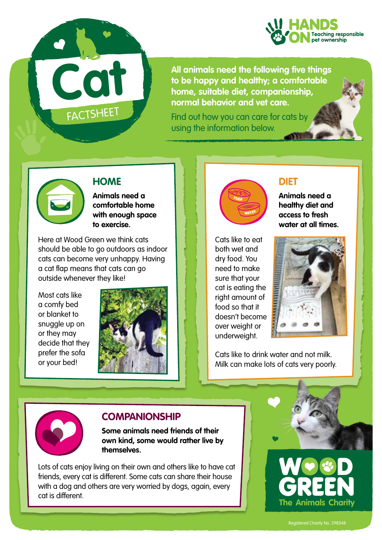

**All animals need the following five things to be happy and healthy; a comfortable home, suitable diet, companionship, normal behavior and vet care.** 

Find out how you can care for cats by using the information below.



### **HOME**

**FACTSHEET** 

**Cat**

**Animals need a comfortable home with enough space to exercise.** 

Here at Wood Green we think cats should be able to go outdoors as indoor cats can become very unhappy. Having a cat flap means that cats can go outside whenever they like!

Most cats like a comfy bed or blanket to snuggle up on or they may decide that they prefer the sofa or your bed!





#### **DIET**

**Animals need a healthy diet and access to fresh water at all times.**

Cats like to eat both wet and dry food. You need to make sure that your cat is eating the right amount of food so that it doesn't become over weight or underweight.



Cats like to drink water and not milk. Milk can make lots of cats very poorly.



#### **COMPANIONSHIP**

**Some animals need friends of their own kind, some would rather live by themselves.**

Lots of cats enjoy living on their own and others like to have cat friends, every cat is different. Some cats can share their house with a dog and others are very worried by dogs, again, every cat is different.